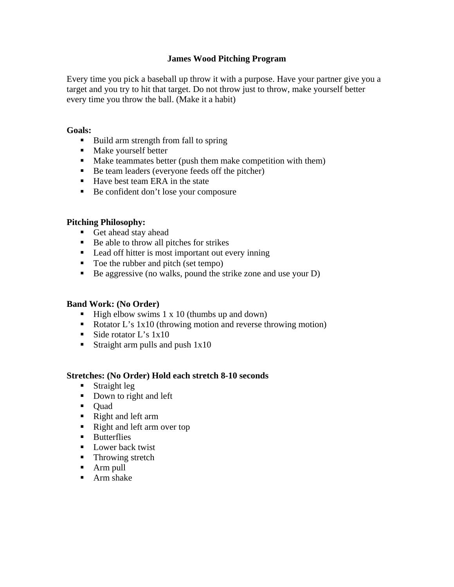# **James Wood Pitching Program**

Every time you pick a baseball up throw it with a purpose. Have your partner give you a target and you try to hit that target. Do not throw just to throw, make yourself better every time you throw the ball. (Make it a habit)

#### **Goals:**

- Build arm strength from fall to spring
- Make yourself better
- **Make teammates better (push them make competition with them)**
- Be team leaders (everyone feeds off the pitcher)
- Have best team ERA in the state
- Be confident don't lose your composure

### **Pitching Philosophy:**

- Get ahead stay ahead
- Be able to throw all pitches for strikes
- **Lead off hitter is most important out every inning**
- Toe the rubber and pitch (set tempo)
- $\blacksquare$  Be aggressive (no walks, pound the strike zone and use your D)

### **Band Work: (No Order)**

- $\blacksquare$  High elbow swims 1 x 10 (thumbs up and down)
- Rotator L's 1x10 (throwing motion and reverse throwing motion)
- Side rotator L's  $1x10$
- Straight arm pulls and push  $1x10$

### **Stretches: (No Order) Hold each stretch 8-10 seconds**

- **Straight leg**
- Down to right and left
- Quad
- Right and left arm
- Right and left arm over top
- **Butterflies**
- **Lower back twist**
- Throwing stretch
- Arm pull
- **Arm** shake